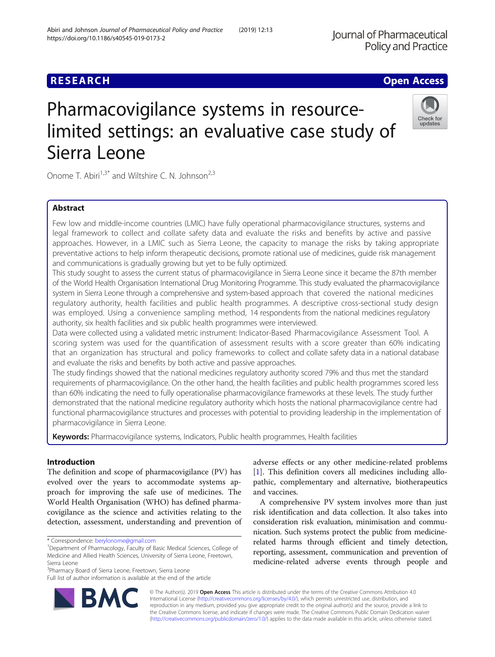# **RESEARCH CHE Open Access**

# Pharmacovigilance systems in resourcelimited settings: an evaluative case study of Sierra Leone



Onome T. Abiri<sup>1,3\*</sup> and Wiltshire C. N. Johnson<sup>2,3</sup>

# Abstract

Few low and middle-income countries (LMIC) have fully operational pharmacovigilance structures, systems and legal framework to collect and collate safety data and evaluate the risks and benefits by active and passive approaches. However, in a LMIC such as Sierra Leone, the capacity to manage the risks by taking appropriate preventative actions to help inform therapeutic decisions, promote rational use of medicines, guide risk management and communications is gradually growing but yet to be fully optimized.

This study sought to assess the current status of pharmacovigilance in Sierra Leone since it became the 87th member of the World Health Organisation International Drug Monitoring Programme. This study evaluated the pharmacovigilance system in Sierra Leone through a comprehensive and system-based approach that covered the national medicines regulatory authority, health facilities and public health programmes. A descriptive cross-sectional study design was employed. Using a convenience sampling method, 14 respondents from the national medicines regulatory authority, six health facilities and six public health programmes were interviewed.

Data were collected using a validated metric instrument: Indicator-Based Pharmacovigilance Assessment Tool. A scoring system was used for the quantification of assessment results with a score greater than 60% indicating that an organization has structural and policy frameworks to collect and collate safety data in a national database and evaluate the risks and benefits by both active and passive approaches.

The study findings showed that the national medicines regulatory authority scored 79% and thus met the standard requirements of pharmacovigilance. On the other hand, the health facilities and public health programmes scored less than 60% indicating the need to fully operationalise pharmacovigilance frameworks at these levels. The study further demonstrated that the national medicine regulatory authority which hosts the national pharmacovigilance centre had functional pharmacovigilance structures and processes with potential to providing leadership in the implementation of pharmacovigilance in Sierra Leone.

Keywords: Pharmacovigilance systems, Indicators, Public health programmes, Health facilities

# Introduction

The definition and scope of pharmacovigilance (PV) has evolved over the years to accommodate systems approach for improving the safe use of medicines. The World Health Organisation (WHO) has defined pharmacovigilance as the science and activities relating to the detection, assessment, understanding and prevention of

<sup>3</sup>Pharmacy Board of Sierra Leone, Freetown, Sierra Leone

Full list of author information is available at the end of the article



A comprehensive PV system involves more than just risk identification and data collection. It also takes into consideration risk evaluation, minimisation and communication. Such systems protect the public from medicinerelated harms through efficient and timely detection, reporting, assessment, communication and prevention of medicine-related adverse events through people and

© The Author(s). 2019 Open Access This article is distributed under the terms of the Creative Commons Attribution 4.0 International License [\(http://creativecommons.org/licenses/by/4.0/](http://creativecommons.org/licenses/by/4.0/)), which permits unrestricted use, distribution, and reproduction in any medium, provided you give appropriate credit to the original author(s) and the source, provide a link to the Creative Commons license, and indicate if changes were made. The Creative Commons Public Domain Dedication waiver [\(http://creativecommons.org/publicdomain/zero/1.0/](http://creativecommons.org/publicdomain/zero/1.0/)) applies to the data made available in this article, unless otherwise stated.



<sup>\*</sup> Correspondence: [berylonome@gmail.com](mailto:berylonome@gmail.com) <sup>1</sup>

<sup>&</sup>lt;sup>1</sup>Department of Pharmacology, Faculty of Basic Medical Sciences, College of Medicine and Allied Health Sciences, University of Sierra Leone, Freetown, Sierra Leone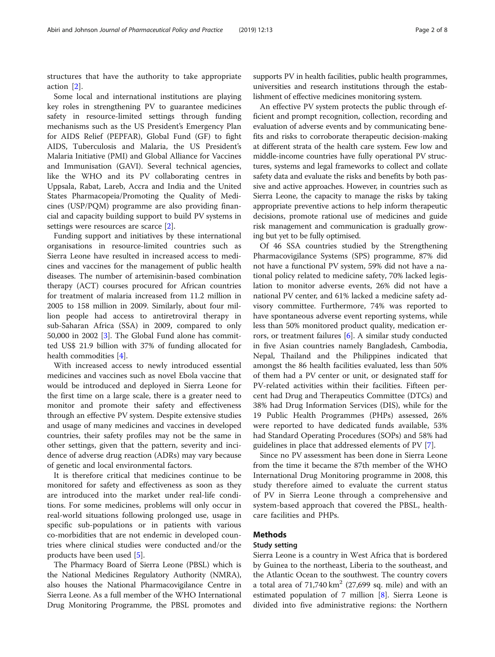structures that have the authority to take appropriate action [\[2](#page-7-0)].

Some local and international institutions are playing key roles in strengthening PV to guarantee medicines safety in resource-limited settings through funding mechanisms such as the US President's Emergency Plan for AIDS Relief (PEPFAR), Global Fund (GF) to fight AIDS, Tuberculosis and Malaria, the US President's Malaria Initiative (PMI) and Global Alliance for Vaccines and Immunisation (GAVI). Several technical agencies, like the WHO and its PV collaborating centres in Uppsala, Rabat, Lareb, Accra and India and the United States Pharmacopeia/Promoting the Quality of Medicines (USP/PQM) programme are also providing financial and capacity building support to build PV systems in settings were resources are scarce [[2\]](#page-7-0).

Funding support and initiatives by these international organisations in resource-limited countries such as Sierra Leone have resulted in increased access to medicines and vaccines for the management of public health diseases. The number of artemisinin-based combination therapy (ACT) courses procured for African countries for treatment of malaria increased from 11.2 million in 2005 to 158 million in 2009. Similarly, about four million people had access to antiretroviral therapy in sub-Saharan Africa (SSA) in 2009, compared to only 50,000 in 2002 [[3\]](#page-7-0). The Global Fund alone has committed US\$ 21.9 billion with 37% of funding allocated for health commodities [[4](#page-7-0)].

With increased access to newly introduced essential medicines and vaccines such as novel Ebola vaccine that would be introduced and deployed in Sierra Leone for the first time on a large scale, there is a greater need to monitor and promote their safety and effectiveness through an effective PV system. Despite extensive studies and usage of many medicines and vaccines in developed countries, their safety profiles may not be the same in other settings, given that the pattern, severity and incidence of adverse drug reaction (ADRs) may vary because of genetic and local environmental factors.

It is therefore critical that medicines continue to be monitored for safety and effectiveness as soon as they are introduced into the market under real-life conditions. For some medicines, problems will only occur in real-world situations following prolonged use, usage in specific sub-populations or in patients with various co-morbidities that are not endemic in developed countries where clinical studies were conducted and/or the products have been used [\[5](#page-7-0)].

The Pharmacy Board of Sierra Leone (PBSL) which is the National Medicines Regulatory Authority (NMRA), also houses the National Pharmacovigilance Centre in Sierra Leone. As a full member of the WHO International Drug Monitoring Programme, the PBSL promotes and supports PV in health facilities, public health programmes, universities and research institutions through the establishment of effective medicines monitoring system.

An effective PV system protects the public through efficient and prompt recognition, collection, recording and evaluation of adverse events and by communicating benefits and risks to corroborate therapeutic decision-making at different strata of the health care system. Few low and middle-income countries have fully operational PV structures, systems and legal frameworks to collect and collate safety data and evaluate the risks and benefits by both passive and active approaches. However, in countries such as Sierra Leone, the capacity to manage the risks by taking appropriate preventive actions to help inform therapeutic decisions, promote rational use of medicines and guide risk management and communication is gradually growing but yet to be fully optimised.

Of 46 SSA countries studied by the Strengthening Pharmacovigilance Systems (SPS) programme, 87% did not have a functional PV system, 59% did not have a national policy related to medicine safety, 70% lacked legislation to monitor adverse events, 26% did not have a national PV center, and 61% lacked a medicine safety advisory committee. Furthermore, 74% was reported to have spontaneous adverse event reporting systems, while less than 50% monitored product quality, medication errors, or treatment failures [[6\]](#page-7-0). A similar study conducted in five Asian countries namely Bangladesh, Cambodia, Nepal, Thailand and the Philippines indicated that amongst the 86 health facilities evaluated, less than 50% of them had a PV center or unit, or designated staff for PV-related activities within their facilities. Fifteen percent had Drug and Therapeutics Committee (DTCs) and 38% had Drug Information Services (DIS), while for the 19 Public Health Programmes (PHPs) assessed, 26% were reported to have dedicated funds available, 53% had Standard Operating Procedures (SOPs) and 58% had guidelines in place that addressed elements of PV [\[7](#page-7-0)].

Since no PV assessment has been done in Sierra Leone from the time it became the 87th member of the WHO International Drug Monitoring programme in 2008, this study therefore aimed to evaluate the current status of PV in Sierra Leone through a comprehensive and system-based approach that covered the PBSL, healthcare facilities and PHPs.

# Methods

#### Study setting

Sierra Leone is a country in West Africa that is bordered by Guinea to the northeast, Liberia to the southeast, and the Atlantic Ocean to the southwest. The country covers a total area of  $71,740 \text{ km}^2$  (27,699 sq. mile) and with an estimated population of 7 million  $[8]$  $[8]$ . Sierra Leone is divided into five administrative regions: the Northern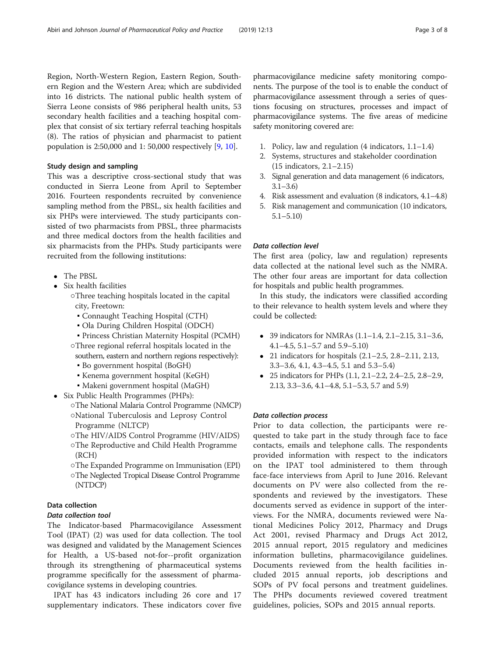Region, North-Western Region, Eastern Region, Southern Region and the Western Area; which are subdivided into 16 districts. The national public health system of Sierra Leone consists of 986 peripheral health units, 53 secondary health facilities and a teaching hospital complex that consist of six tertiary referral teaching hospitals (8). The ratios of physician and pharmacist to patient population is 2:50,000 and 1: 50,000 respectively [[9,](#page-7-0) [10\]](#page-7-0).

# Study design and sampling

This was a descriptive cross-sectional study that was conducted in Sierra Leone from April to September 2016. Fourteen respondents recruited by convenience sampling method from the PBSL, six health facilities and six PHPs were interviewed. The study participants consisted of two pharmacists from PBSL, three pharmacists and three medical doctors from the health facilities and six pharmacists from the PHPs. Study participants were recruited from the following institutions:

- The PBSL
- Six health facilities

○Three teaching hospitals located in the capital city, Freetown:

- Connaught Teaching Hospital (CTH)
- Ola During Children Hospital (ODCH)
- Princess Christian Maternity Hospital (PCMH)

○Three regional referral hospitals located in the

southern, eastern and northern regions respectively): ▪ Bo government hospital (BoGH)

- Kenema government hospital (KeGH)
- Makeni government hospital (MaGH)
- Six Public Health Programmes (PHPs):
	- ○The National Malaria Control Programme (NMCP) ○National Tuberculosis and Leprosy Control Programme (NLTCP)
	- ○The HIV/AIDS Control Programme (HIV/AIDS)
	- ○The Reproductive and Child Health Programme (RCH)
	- ○The Expanded Programme on Immunisation (EPI) ○The Neglected Tropical Disease Control Programme (NTDCP)

# Data collection

# Data collection tool

The Indicator-based Pharmacovigilance Assessment Tool (IPAT) (2) was used for data collection. The tool was designed and validated by the Management Sciences for Health, a US-based not-for--profit organization through its strengthening of pharmaceutical systems programme specifically for the assessment of pharmacovigilance systems in developing countries.

IPAT has 43 indicators including 26 core and 17 supplementary indicators. These indicators cover five pharmacovigilance medicine safety monitoring components. The purpose of the tool is to enable the conduct of pharmacovigilance assessment through a series of questions focusing on structures, processes and impact of pharmacovigilance systems. The five areas of medicine safety monitoring covered are:

- 1. Policy, law and regulation (4 indicators, 1.1–1.4)
- 2. Systems, structures and stakeholder coordination (15 indicators, 2.1–2.15)
- 3. Signal generation and data management (6 indicators, 3.1–3.6)
- 4. Risk assessment and evaluation (8 indicators, 4.1–4.8)
- 5. Risk management and communication (10 indicators, 5.1–5.10)

# Data collection level

The first area (policy, law and regulation) represents data collected at the national level such as the NMRA. The other four areas are important for data collection for hospitals and public health programmes.

In this study, the indicators were classified according to their relevance to health system levels and where they could be collected:

- 39 indicators for NMRAs (1.1–1.4, 2.1–2.15, 3.1–3.6, 4.1–4.5, 5.1–5.7 and 5.9–5.10)
- 21 indicators for hospitals  $(2.1-2.5, 2.8-2.11, 2.13,$ 3.3–3.6, 4.1, 4.3–4.5, 5.1 and 5.3–5.4)
- 25 indicators for PHPs (1.1, 2.1–2.2, 2.4–2.5, 2.8–2.9, 2.13, 3.3–3.6, 4.1–4.8, 5.1–5.3, 5.7 and 5.9)

# Data collection process

Prior to data collection, the participants were requested to take part in the study through face to face contacts, emails and telephone calls. The respondents provided information with respect to the indicators on the IPAT tool administered to them through face-face interviews from April to June 2016. Relevant documents on PV were also collected from the respondents and reviewed by the investigators. These documents served as evidence in support of the interviews. For the NMRA, documents reviewed were National Medicines Policy 2012, Pharmacy and Drugs Act 2001, revised Pharmacy and Drugs Act 2012, 2015 annual report, 2015 regulatory and medicines information bulletins, pharmacovigilance guidelines. Documents reviewed from the health facilities included 2015 annual reports, job descriptions and SOPs of PV focal persons and treatment guidelines. The PHPs documents reviewed covered treatment guidelines, policies, SOPs and 2015 annual reports.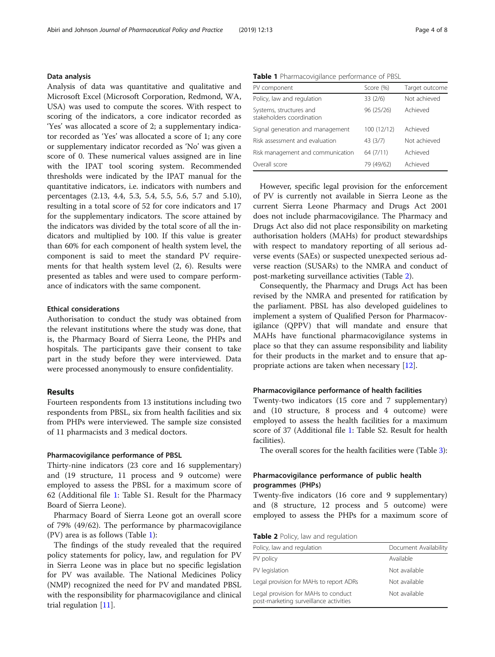# Data analysis

Analysis of data was quantitative and qualitative and Microsoft Excel (Microsoft Corporation, Redmond, WA, USA) was used to compute the scores. With respect to scoring of the indicators, a core indicator recorded as 'Yes' was allocated a score of 2; a supplementary indicator recorded as 'Yes' was allocated a score of 1; any core or supplementary indicator recorded as 'No' was given a score of 0. These numerical values assigned are in line with the IPAT tool scoring system. Recommended thresholds were indicated by the IPAT manual for the quantitative indicators, i.e. indicators with numbers and percentages (2.13, 4.4, 5.3, 5.4, 5.5, 5.6, 5.7 and 5.10), resulting in a total score of 52 for core indicators and 17 for the supplementary indicators. The score attained by the indicators was divided by the total score of all the indicators and multiplied by 100. If this value is greater than 60% for each component of health system level, the component is said to meet the standard PV requirements for that health system level (2, 6). Results were presented as tables and were used to compare performance of indicators with the same component.

# Ethical considerations

Authorisation to conduct the study was obtained from the relevant institutions where the study was done, that is, the Pharmacy Board of Sierra Leone, the PHPs and hospitals. The participants gave their consent to take part in the study before they were interviewed. Data were processed anonymously to ensure confidentiality.

# Results

Fourteen respondents from 13 institutions including two respondents from PBSL, six from health facilities and six from PHPs were interviewed. The sample size consisted of 11 pharmacists and 3 medical doctors.

## Pharmacovigilance performance of PBSL

Thirty-nine indicators (23 core and 16 supplementary) and (19 structure, 11 process and 9 outcome) were employed to assess the PBSL for a maximum score of 62 (Additional file [1](#page-6-0): Table S1. Result for the Pharmacy Board of Sierra Leone).

Pharmacy Board of Sierra Leone got an overall score of 79% (49/62). The performance by pharmacovigilance (PV) area is as follows (Table 1):

The findings of the study revealed that the required policy statements for policy, law, and regulation for PV in Sierra Leone was in place but no specific legislation for PV was available. The National Medicines Policy (NMP) recognized the need for PV and mandated PBSL with the responsibility for pharmacovigilance and clinical trial regulation [\[11](#page-7-0)].

Table 1 Pharmacovigilance performance of PBSL

| PV component                                         | Score (%)   | Target outcome |
|------------------------------------------------------|-------------|----------------|
| Policy, law and regulation                           | 33(2/6)     | Not achieved   |
| Systems, structures and<br>stakeholders coordination | 96 (25/26)  | Achieved       |
| Signal generation and management                     | 100 (12/12) | Achieved       |
| Risk assessment and evaluation                       | 43 (3/7)    | Not achieved   |
| Risk management and communication                    | 64 (7/11)   | Achieved       |
| Overall score                                        | 79 (49/62)  | Achieved       |

However, specific legal provision for the enforcement of PV is currently not available in Sierra Leone as the current Sierra Leone Pharmacy and Drugs Act 2001 does not include pharmacovigilance. The Pharmacy and Drugs Act also did not place responsibility on marketing authorisation holders (MAHs) for product stewardships with respect to mandatory reporting of all serious adverse events (SAEs) or suspected unexpected serious adverse reaction (SUSARs) to the NMRA and conduct of post-marketing surveillance activities (Table 2).

Consequently, the Pharmacy and Drugs Act has been revised by the NMRA and presented for ratification by the parliament. PBSL has also developed guidelines to implement a system of Qualified Person for Pharmacovigilance (QPPV) that will mandate and ensure that MAHs have functional pharmacovigilance systems in place so that they can assume responsibility and liability for their products in the market and to ensure that appropriate actions are taken when necessary [\[12](#page-7-0)].

#### Pharmacovigilance performance of health facilities

Twenty-two indicators (15 core and 7 supplementary) and (10 structure, 8 process and 4 outcome) were employed to assess the health facilities for a maximum score of 37 (Additional file [1:](#page-6-0) Table S2. Result for health facilities).

The overall scores for the health facilities were (Table [3](#page-4-0)):

# Pharmacovigilance performance of public health programmes (PHPs)

Twenty-five indicators (16 core and 9 supplementary) and (8 structure, 12 process and 5 outcome) were employed to assess the PHPs for a maximum score of

Table 2 Policy, law and regulation

| Policy, law and regulation                                                    | Document Availability |
|-------------------------------------------------------------------------------|-----------------------|
| PV policy                                                                     | Available             |
| PV legislation                                                                | Not available         |
| Legal provision for MAHs to report ADRs                                       | Not available         |
| Legal provision for MAHs to conduct<br>post-marketing surveillance activities | Not available         |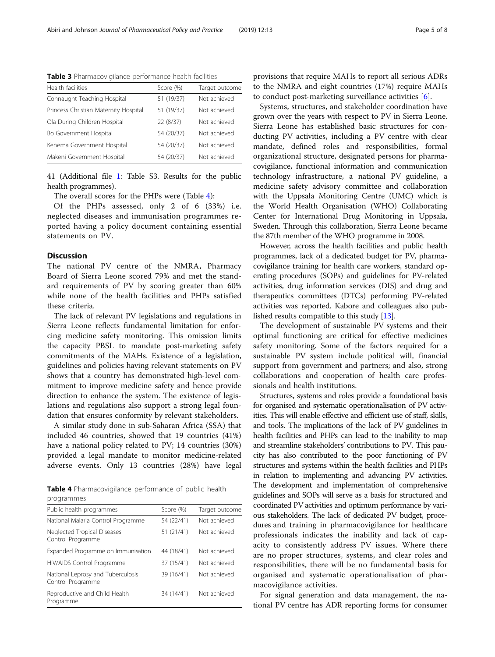<span id="page-4-0"></span>Table 3 Pharmacovigilance performance health facilities

| Health facilities                     | Score (%)  | Target outcome |
|---------------------------------------|------------|----------------|
| Connaught Teaching Hospital           | 51 (19/37) | Not achieved   |
| Princess Christian Maternity Hospital | 51 (19/37) | Not achieved   |
| Ola During Children Hospital          | 22(8/37)   | Not achieved   |
| Bo Government Hospital                | 54 (20/37) | Not achieved   |
| Kenema Government Hospital            | 54 (20/37) | Not achieved   |
| Makeni Government Hospital            | 54 (20/37) | Not achieved   |

41 (Additional file [1:](#page-6-0) Table S3. Results for the public health programmes).

The overall scores for the PHPs were (Table 4):

Of the PHPs assessed, only 2 of 6 (33%) i.e. neglected diseases and immunisation programmes reported having a policy document containing essential statements on PV.

## Discussion

The national PV centre of the NMRA, Pharmacy Board of Sierra Leone scored 79% and met the standard requirements of PV by scoring greater than 60% while none of the health facilities and PHPs satisfied these criteria.

The lack of relevant PV legislations and regulations in Sierra Leone reflects fundamental limitation for enforcing medicine safety monitoring. This omission limits the capacity PBSL to mandate post-marketing safety commitments of the MAHs. Existence of a legislation, guidelines and policies having relevant statements on PV shows that a country has demonstrated high-level commitment to improve medicine safety and hence provide direction to enhance the system. The existence of legislations and regulations also support a strong legal foundation that ensures conformity by relevant stakeholders.

A similar study done in sub-Saharan Africa (SSA) that included 46 countries, showed that 19 countries (41%) have a national policy related to PV; 14 countries (30%) provided a legal mandate to monitor medicine-related adverse events. Only 13 countries (28%) have legal

Table 4 Pharmacovigilance performance of public health programmes

| piuuriiniitu                                           |            |                |  |  |
|--------------------------------------------------------|------------|----------------|--|--|
| Public health programmes                               | Score (%)  | Target outcome |  |  |
| National Malaria Control Programme                     | 54 (22/41) | Not achieved   |  |  |
| Neglected Tropical Diseases<br>Control Programme       | 51 (21/41) | Not achieved   |  |  |
| Expanded Programme on Immunisation                     | 44 (18/41) | Not achieved   |  |  |
| HIV/AIDS Control Programme                             | 37 (15/41) | Not achieved   |  |  |
| National Leprosy and Tuberculosis<br>Control Programme | 39 (16/41) | Not achieved   |  |  |
| Reproductive and Child Health<br>Programme             | 34 (14/41) | Not achieved   |  |  |

provisions that require MAHs to report all serious ADRs to the NMRA and eight countries (17%) require MAHs to conduct post-marketing surveillance activities [[6\]](#page-7-0).

Systems, structures, and stakeholder coordination have grown over the years with respect to PV in Sierra Leone. Sierra Leone has established basic structures for conducting PV activities, including a PV centre with clear mandate, defined roles and responsibilities, formal organizational structure, designated persons for pharmacovigilance, functional information and communication technology infrastructure, a national PV guideline, a medicine safety advisory committee and collaboration with the Uppsala Monitoring Centre (UMC) which is the World Health Organisation (WHO) Collaborating Center for International Drug Monitoring in Uppsala, Sweden. Through this collaboration, Sierra Leone became the 87th member of the WHO programme in 2008.

However, across the health facilities and public health programmes, lack of a dedicated budget for PV, pharmacovigilance training for health care workers, standard operating procedures (SOPs) and guidelines for PV-related activities, drug information services (DIS) and drug and therapeutics committees (DTCs) performing PV-related activities was reported. Kabore and colleagues also published results compatible to this study [\[13\]](#page-7-0).

The development of sustainable PV systems and their optimal functioning are critical for effective medicines safety monitoring. Some of the factors required for a sustainable PV system include political will, financial support from government and partners; and also, strong collaborations and cooperation of health care professionals and health institutions.

Structures, systems and roles provide a foundational basis for organised and systematic operationalisation of PV activities. This will enable effective and efficient use of staff, skills, and tools. The implications of the lack of PV guidelines in health facilities and PHPs can lead to the inability to map and streamline stakeholders' contributions to PV. This paucity has also contributed to the poor functioning of PV structures and systems within the health facilities and PHPs in relation to implementing and advancing PV activities. The development and implementation of comprehensive guidelines and SOPs will serve as a basis for structured and coordinated PV activities and optimum performance by various stakeholders. The lack of dedicated PV budget, procedures and training in pharmacovigilance for healthcare professionals indicates the inability and lack of capacity to consistently address PV issues. Where there are no proper structures, systems, and clear roles and responsibilities, there will be no fundamental basis for organised and systematic operationalisation of pharmacovigilance activities.

For signal generation and data management, the national PV centre has ADR reporting forms for consumer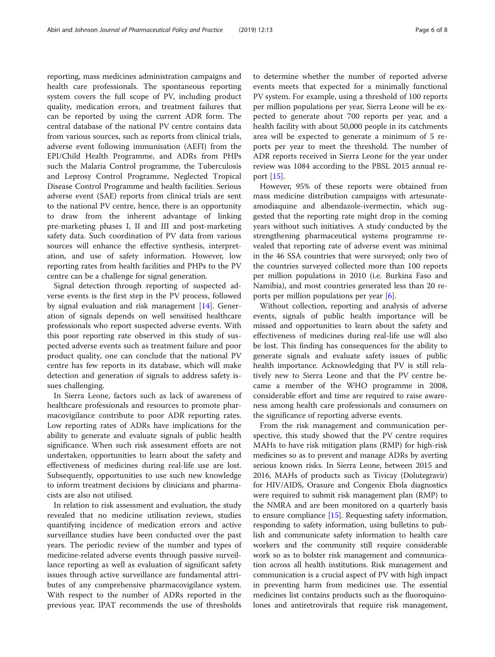reporting, mass medicines administration campaigns and health care professionals. The spontaneous reporting system covers the full scope of PV, including product quality, medication errors, and treatment failures that can be reported by using the current ADR form. The central database of the national PV centre contains data from various sources, such as reports from clinical trials, adverse event following immunisation (AEFI) from the EPI/Child Health Programme, and ADRs from PHPs such the Malaria Control programme, the Tuberculosis and Leprosy Control Programme, Neglected Tropical Disease Control Programme and health facilities. Serious adverse event (SAE) reports from clinical trials are sent to the national PV centre, hence, there is an opportunity draw from the inherent advantage of linking pre-marketing phases I, II and III and post-marketing safety data. Such coordination of PV data from various sources will enhance the effective synthesis, interpretation, and use of safety information. However, low reporting rates from health facilities and PHPs to the PV centre can be a challenge for signal generation.

Signal detection through reporting of suspected adverse events is the first step in the PV process, followed by signal evaluation and risk management [[14](#page-7-0)]. Generation of signals depends on well sensitised healthcare professionals who report suspected adverse events. With this poor reporting rate observed in this study of suspected adverse events such as treatment failure and poor product quality, one can conclude that the national PV centre has few reports in its database, which will make detection and generation of signals to address safety issues challenging.

In Sierra Leone, factors such as lack of awareness of healthcare professionals and resources to promote pharmacovigilance contribute to poor ADR reporting rates. Low reporting rates of ADRs have implications for the ability to generate and evaluate signals of public health significance. When such risk assessment efforts are not undertaken, opportunities to learn about the safety and effectiveness of medicines during real-life use are lost. Subsequently, opportunities to use such new knowledge to inform treatment decisions by clinicians and pharmacists are also not utilised.

In relation to risk assessment and evaluation, the study revealed that no medicine utilisation reviews, studies quantifying incidence of medication errors and active surveillance studies have been conducted over the past years. The periodic review of the number and types of medicine-related adverse events through passive surveillance reporting as well as evaluation of significant safety issues through active surveillance are fundamental attributes of any comprehensive pharmacovigilance system. With respect to the number of ADRs reported in the previous year, IPAT recommends the use of thresholds to determine whether the number of reported adverse events meets that expected for a minimally functional PV system. For example, using a threshold of 100 reports per million populations per year, Sierra Leone will be expected to generate about 700 reports per year, and a health facility with about 50,000 people in its catchments area will be expected to generate a minimum of 5 reports per year to meet the threshold. The number of ADR reports received in Sierra Leone for the year under review was 1084 according to the PBSL 2015 annual report [\[15\]](#page-7-0).

However, 95% of these reports were obtained from mass medicine distribution campaigns with artesunateamodiaquine and albendazole-ivermectin, which suggested that the reporting rate might drop in the coming years without such initiatives. A study conducted by the strengthening pharmaceutical systems programme revealed that reporting rate of adverse event was minimal in the 46 SSA countries that were surveyed; only two of the countries surveyed collected more than 100 reports per million populations in 2010 (i.e. Burkina Faso and Namibia), and most countries generated less than 20 reports per million populations per year [[6\]](#page-7-0).

Without collection, reporting and analysis of adverse events, signals of public health importance will be missed and opportunities to learn about the safety and effectiveness of medicines during real-life use will also be lost. This finding has consequences for the ability to generate signals and evaluate safety issues of public health importance. Acknowledging that PV is still relatively new to Sierra Leone and that the PV centre became a member of the WHO programme in 2008, considerable effort and time are required to raise awareness among health care professionals and consumers on the significance of reporting adverse events.

From the risk management and communication perspective, this study showed that the PV centre requires MAHs to have risk mitigation plans (RMP) for high-risk medicines so as to prevent and manage ADRs by averting serious known risks. In Sierra Leone, between 2015 and 2016, MAHs of products such as Tivicay (Dolutegravir) for HIV/AIDS, Orasure and Congenix Ebola diagnostics were required to submit risk management plan (RMP) to the NMRA and are been monitored on a quarterly basis to ensure compliance [[15\]](#page-7-0). Requesting safety information, responding to safety information, using bulletins to publish and communicate safety information to health care workers and the community still require considerable work so as to bolster risk management and communication across all health institutions. Risk management and communication is a crucial aspect of PV with high impact in preventing harm from medicines use. The essential medicines list contains products such as the fluoroquinolones and antiretrovirals that require risk management,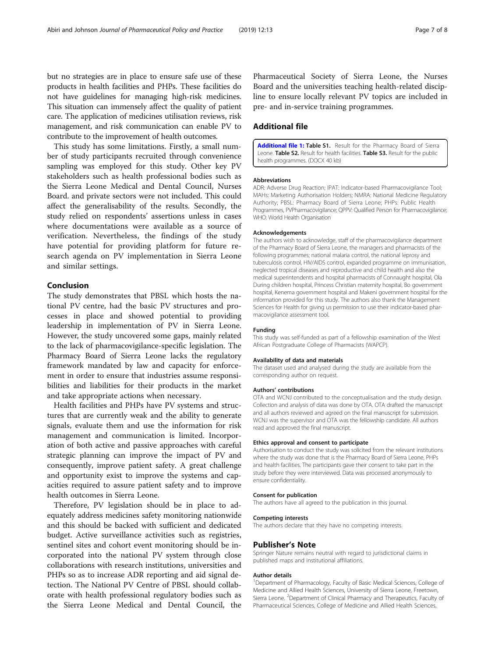<span id="page-6-0"></span>but no strategies are in place to ensure safe use of these products in health facilities and PHPs. These facilities do not have guidelines for managing high-risk medicines. This situation can immensely affect the quality of patient care. The application of medicines utilisation reviews, risk management, and risk communication can enable PV to contribute to the improvement of health outcomes.

This study has some limitations. Firstly, a small number of study participants recruited through convenience sampling was employed for this study. Other key PV stakeholders such as health professional bodies such as the Sierra Leone Medical and Dental Council, Nurses Board. and private sectors were not included. This could affect the generalisability of the results. Secondly, the study relied on respondents' assertions unless in cases where documentations were available as a source of verification. Nevertheless, the findings of the study have potential for providing platform for future research agenda on PV implementation in Sierra Leone and similar settings.

# Conclusion

The study demonstrates that PBSL which hosts the national PV centre, had the basic PV structures and processes in place and showed potential to providing leadership in implementation of PV in Sierra Leone. However, the study uncovered some gaps, mainly related to the lack of pharmacovigilance-specific legislation. The Pharmacy Board of Sierra Leone lacks the regulatory framework mandated by law and capacity for enforcement in order to ensure that industries assume responsibilities and liabilities for their products in the market and take appropriate actions when necessary.

Health facilities and PHPs have PV systems and structures that are currently weak and the ability to generate signals, evaluate them and use the information for risk management and communication is limited. Incorporation of both active and passive approaches with careful strategic planning can improve the impact of PV and consequently, improve patient safety. A great challenge and opportunity exist to improve the systems and capacities required to assure patient safety and to improve health outcomes in Sierra Leone.

Therefore, PV legislation should be in place to adequately address medicines safety monitoring nationwide and this should be backed with sufficient and dedicated budget. Active surveillance activities such as registries, sentinel sites and cohort event monitoring should be incorporated into the national PV system through close collaborations with research institutions, universities and PHPs so as to increase ADR reporting and aid signal detection. The National PV Centre of PBSL should collaborate with health professional regulatory bodies such as the Sierra Leone Medical and Dental Council, the

Pharmaceutical Society of Sierra Leone, the Nurses Board and the universities teaching health-related discipline to ensure locally relevant PV topics are included in pre- and in-service training programmes.

# Additional file

[Additional file 1:](https://doi.org/10.1186/s40545-019-0173-2) Table S1. Result for the Pharmacy Board of Sierra Leone. Table S2. Result for health facilities. Table S3. Result for the public health programmes. (DOCX 40 kb)

#### Abbreviations

ADR: Adverse Drug Reaction; IPAT: Indicator-based Pharmacovigilance Tool; MAHs: Marketing Authorisation Holders; NMRA: National Medicine Regulatory Authority; PBSL: Pharmacy Board of Sierra Leone; PHPs: Public Health Programmes, PVPharmacovigilance; QPPV: Qualified Person for Pharmacovigilance; WHO: World Health Organisation

#### Acknowledgements

The authors wish to acknowledge, staff of the pharmacovigilance department of the Pharmacy Board of Sierra Leone, the managers and pharmacists of the following programmes; national malaria control, the national leprosy and tuberculosis control, HIV/AIDS control, expanded programme on immunisation, neglected tropical diseases and reproductive and child health and also the medical superintendents and hospital pharmacists of Connaught hospital, Ola During children hospital, Princess Christian maternity hospital, Bo government hospital, Kenema government hospital and Makeni government hospital for the information provided for this study. The authors also thank the Management Sciences for Health for giving us permission to use their indicator-based pharmacovigilance assessment tool.

#### Funding

This study was self-funded as part of a fellowship examination of the West African Postgraduate College of Pharmacists (WAPCP).

#### Availability of data and materials

The dataset used and analysed during the study are available from the corresponding author on request.

#### Authors' contributions

OTA and WCNJ contributed to the conceptualisation and the study design. Collection and analysis of data was done by OTA. OTA drafted the manuscript and all authors reviewed and agreed on the final manuscript for submission. WCNJ was the supervisor and OTA was the fellowship candidate. All authors read and approved the final manuscript.

#### Ethics approval and consent to participate

Authorisation to conduct the study was solicited from the relevant institutions where the study was done that is the Pharmacy Board of Sierra Leone, PHPs and health facilities. The participants gave their consent to take part in the study before they were interviewed. Data was processed anonymously to ensure confidentiality.

#### Consent for publication

The authors have all agreed to the publication in this journal.

# Competing interests

The authors declare that they have no competing interests.

#### Publisher's Note

Springer Nature remains neutral with regard to jurisdictional claims in published maps and institutional affiliations.

#### Author details

<sup>1</sup>Department of Pharmacology, Faculty of Basic Medical Sciences, College of Medicine and Allied Health Sciences, University of Sierra Leone, Freetown, Sierra Leone. <sup>2</sup>Department of Clinical Pharmacy and Therapeutics, Faculty of Pharmaceutical Sciences, College of Medicine and Allied Health Sciences,